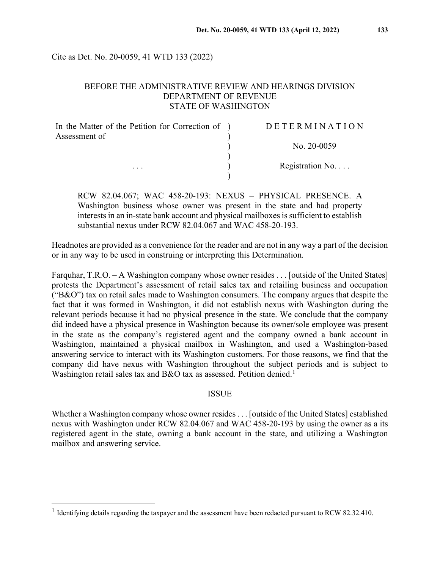Cite as Det. No. 20-0059, 41 WTD 133 (2022)

### BEFORE THE ADMINISTRATIVE REVIEW AND HEARINGS DIVISION DEPARTMENT OF REVENUE STATE OF WASHINGTON

| In the Matter of the Petition for Correction of ) | <b>DETERMINATION</b> |
|---------------------------------------------------|----------------------|
| Assessment of                                     |                      |
| $\cdots$                                          | No. $20-0059$        |
|                                                   |                      |
|                                                   | Registration No      |
|                                                   |                      |

RCW 82.04.067; WAC 458-20-193: NEXUS – PHYSICAL PRESENCE. A Washington business whose owner was present in the state and had property interests in an in-state bank account and physical mailboxes is sufficient to establish substantial nexus under RCW 82.04.067 and WAC 458-20-193.

Headnotes are provided as a convenience for the reader and are not in any way a part of the decision or in any way to be used in construing or interpreting this Determination.

Farquhar, T.R.O. – A Washington company whose owner resides . . . [outside of the United States] protests the Department's assessment of retail sales tax and retailing business and occupation (" $B&O$ ") tax on retail sales made to Washington consumers. The company argues that despite the fact that it was formed in Washington, it did not establish nexus with Washington during the relevant periods because it had no physical presence in the state. We conclude that the company did indeed have a physical presence in Washington because its owner/sole employee was present in the state as the company's registered agent and the company owned a bank account in Washington, maintained a physical mailbox in Washington, and used a Washington-based answering service to interact with its Washington customers. For those reasons, we find that the company did have nexus with Washington throughout the subject periods and is subject to Washington retail sales tax and B&O tax as assessed. Petition denied.<sup>[1](#page-0-0)</sup>

#### ISSUE

Whether a Washington company whose owner resides. . . [outside of the United States] established nexus with Washington under RCW 82.04.067 and WAC 458-20-193 by using the owner as a its registered agent in the state, owning a bank account in the state, and utilizing a Washington mailbox and answering service.

<span id="page-0-0"></span><sup>&</sup>lt;sup>1</sup> Identifying details regarding the taxpayer and the assessment have been redacted pursuant to RCW 82.32.410.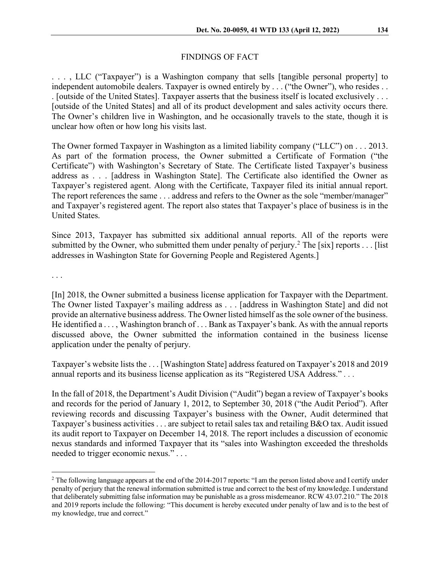## FINDINGS OF FACT

. . . , LLC ("Taxpayer") is a Washington company that sells [tangible personal property] to independent automobile dealers. Taxpayer is owned entirely by . . . ("the Owner"), who resides . . . [outside of the United States]. Taxpayer asserts that the business itself is located exclusively . . . [outside of the United States] and all of its product development and sales activity occurs there. The Owner's children live in Washington, and he occasionally travels to the state, though it is unclear how often or how long his visits last.

The Owner formed Taxpayer in Washington as a limited liability company ("LLC") on . . . 2013. As part of the formation process, the Owner submitted a Certificate of Formation ("the Certificate") with Washington's Secretary of State. The Certificate listed Taxpayer's business address as . . . [address in Washington State]. The Certificate also identified the Owner as Taxpayer's registered agent. Along with the Certificate, Taxpayer filed its initial annual report. The report references the same . . . address and refers to the Owner as the sole "member/manager" and Taxpayer's registered agent. The report also states that Taxpayer's place of business is in the United States.

Since 2013, Taxpayer has submitted six additional annual reports. All of the reports were submitted by the Owner, who submitted them under penalty of perjury.<sup>[2](#page-1-0)</sup> The [six] reports . . . [list] addresses in Washington State for Governing People and Registered Agents.]

. . .

[In] 2018, the Owner submitted a business license application for Taxpayer with the Department. The Owner listed Taxpayer's mailing address as . . . [address in Washington State] and did not provide an alternative business address. The Owner listed himself as the sole owner of the business. He identified a . . . , Washington branch of . . . Bank as Taxpayer's bank. As with the annual reports discussed above, the Owner submitted the information contained in the business license application under the penalty of perjury.

Taxpayer's website lists the . . . [Washington State] address featured on Taxpayer's 2018 and 2019 annual reports and its business license application as its "Registered USA Address." *. . .*

In the fall of 2018, the Department's Audit Division ("Audit") began a review of Taxpayer's books and records for the period of January 1, 2012, to September 30, 2018 ("the Audit Period"). After reviewing records and discussing Taxpayer's business with the Owner, Audit determined that Taxpayer's business activities . . . are subject to retail sales tax and retailing B&O tax. Audit issued its audit report to Taxpayer on December 14, 2018. The report includes a discussion of economic nexus standards and informed Taxpayer that its "sales into Washington exceeded the thresholds needed to trigger economic nexus." . . .

<span id="page-1-0"></span><sup>&</sup>lt;sup>2</sup> The following language appears at the end of the 2014-2017 reports: "I am the person listed above and I certify under penalty of perjury that the renewal information submitted is true and correct to the best of my knowledge. I understand that deliberately submitting false information may be punishable as a gross misdemeanor. RCW 43.07.210." The 2018 and 2019 reports include the following: "This document is hereby executed under penalty of law and is to the best of my knowledge, true and correct."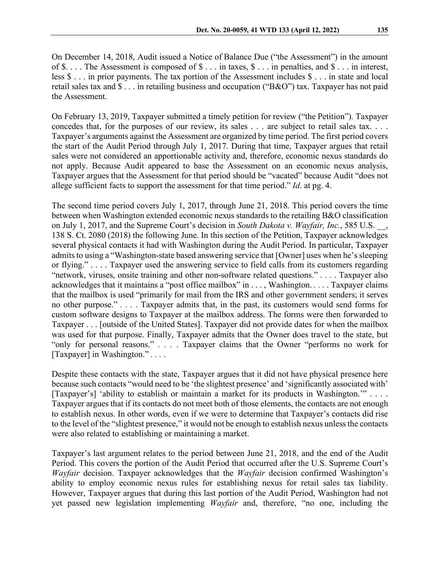On December 14, 2018, Audit issued a Notice of Balance Due ("the Assessment") in the amount of \$. . . . The Assessment is composed of \$ . . . in taxes, \$ . . . in penalties, and \$ . . . in interest, less \$ . . . in prior payments. The tax portion of the Assessment includes \$ . . . in state and local retail sales tax and \$ . . . in retailing business and occupation ("B&O") tax. Taxpayer has not paid the Assessment.

On February 13, 2019, Taxpayer submitted a timely petition for review ("the Petition"). Taxpayer concedes that, for the purposes of our review, its sales . . . are subject to retail sales tax. . . . Taxpayer's arguments against the Assessment are organized by time period. The first period covers the start of the Audit Period through July 1, 2017. During that time, Taxpayer argues that retail sales were not considered an apportionable activity and, therefore, economic nexus standards do not apply. Because Audit appeared to base the Assessment on an economic nexus analysis, Taxpayer argues that the Assessment for that period should be "vacated" because Audit "does not allege sufficient facts to support the assessment for that time period." *Id*. at pg. 4.

The second time period covers July 1, 2017, through June 21, 2018. This period covers the time between when Washington extended economic nexus standards to the retailing B&O classification on July 1, 2017, and the Supreme Court's decision in *South Dakota v. Wayfair, Inc.*, 585 U.S. \_\_, 138 S. Ct. 2080 (2018) the following June. In this section of the Petition, Taxpayer acknowledges several physical contacts it had with Washington during the Audit Period. In particular, Taxpayer admits to using a "Washington-state based answering service that [Owner] uses when he's sleeping or flying." . . . . Taxpayer used the answering service to field calls from its customers regarding "network, viruses, onsite training and other non-software related questions." *. . .* . Taxpayer also acknowledges that it maintains a "post office mailbox" in . . . , Washington. *. . .* . Taxpayer claims that the mailbox is used "primarily for mail from the IRS and other government senders; it serves no other purpose." *. . .* . Taxpayer admits that, in the past, its customers would send forms for custom software designs to Taxpayer at the mailbox address. The forms were then forwarded to Taxpayer . . . [outside of the United States]. Taxpayer did not provide dates for when the mailbox was used for that purpose. Finally, Taxpayer admits that the Owner does travel to the state, but "only for personal reasons." *. . .* . Taxpayer claims that the Owner "performs no work for [Taxpayer] in Washington." *. . .* .

Despite these contacts with the state, Taxpayer argues that it did not have physical presence here because such contacts "would need to be 'the slightest presence' and 'significantly associated with' [Taxpayer's] 'ability to establish or maintain a market for its products in Washington.'" . . . . Taxpayer argues that if its contacts do not meet both of those elements, the contacts are not enough to establish nexus. In other words, even if we were to determine that Taxpayer's contacts did rise to the level of the "slightest presence," it would not be enough to establish nexus unless the contacts were also related to establishing or maintaining a market.

Taxpayer's last argument relates to the period between June 21, 2018, and the end of the Audit Period. This covers the portion of the Audit Period that occurred after the U.S. Supreme Court's *Wayfair* decision. Taxpayer acknowledges that the *Wayfair* decision confirmed Washington's ability to employ economic nexus rules for establishing nexus for retail sales tax liability. However, Taxpayer argues that during this last portion of the Audit Period, Washington had not yet passed new legislation implementing *Wayfair* and, therefore, "no one, including the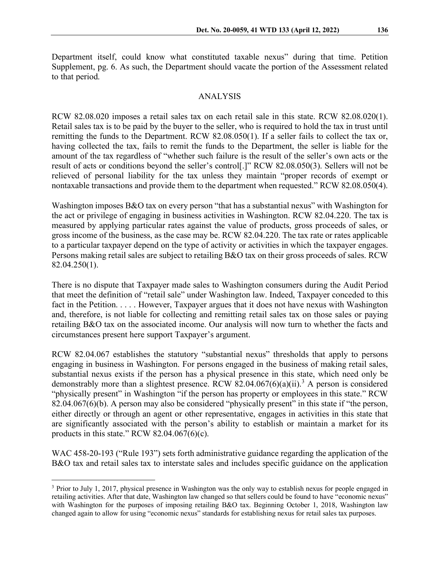Department itself, could know what constituted taxable nexus" during that time. Petition Supplement, pg. 6. As such, the Department should vacate the portion of the Assessment related to that period.

#### ANALYSIS

RCW 82.08.020 imposes a retail sales tax on each retail sale in this state. RCW 82.08.020(1). Retail sales tax is to be paid by the buyer to the seller, who is required to hold the tax in trust until remitting the funds to the Department. RCW 82.08.050(1). If a seller fails to collect the tax or, having collected the tax, fails to remit the funds to the Department, the seller is liable for the amount of the tax regardless of "whether such failure is the result of the seller's own acts or the result of acts or conditions beyond the seller's control[.]" RCW 82.08.050(3). Sellers will not be relieved of personal liability for the tax unless they maintain "proper records of exempt or nontaxable transactions and provide them to the department when requested." RCW 82.08.050(4).

Washington imposes B&O tax on every person "that has a substantial nexus" with Washington for the act or privilege of engaging in business activities in Washington. RCW 82.04.220. The tax is measured by applying particular rates against the value of products, gross proceeds of sales, or gross income of the business, as the case may be. RCW 82.04.220. The tax rate or rates applicable to a particular taxpayer depend on the type of activity or activities in which the taxpayer engages. Persons making retail sales are subject to retailing B&O tax on their gross proceeds of sales. RCW 82.04.250(1).

There is no dispute that Taxpayer made sales to Washington consumers during the Audit Period that meet the definition of "retail sale" under Washington law. Indeed, Taxpayer conceded to this fact in the Petition. . . . . However, Taxpayer argues that it does not have nexus with Washington and, therefore, is not liable for collecting and remitting retail sales tax on those sales or paying retailing B&O tax on the associated income. Our analysis will now turn to whether the facts and circumstances present here support Taxpayer's argument.

RCW 82.04.067 establishes the statutory "substantial nexus" thresholds that apply to persons engaging in business in Washington. For persons engaged in the business of making retail sales, substantial nexus exists if the person has a physical presence in this state, which need only be demonstrably more than a slightest presence. RCW 82.04.067(6)(a)(ii).<sup>[3](#page-3-0)</sup> A person is considered "physically present" in Washington "if the person has property or employees in this state." RCW 82.04.067(6)(b). A person may also be considered "physically present" in this state if "the person, either directly or through an agent or other representative, engages in activities in this state that are significantly associated with the person's ability to establish or maintain a market for its products in this state." RCW  $82.04.067(6)(c)$ .

WAC 458-20-193 ("Rule 193") sets forth administrative guidance regarding the application of the B&O tax and retail sales tax to interstate sales and includes specific guidance on the application

<span id="page-3-0"></span><sup>3</sup> Prior to July 1, 2017, physical presence in Washington was the only way to establish nexus for people engaged in retailing activities. After that date, Washington law changed so that sellers could be found to have "economic nexus" with Washington for the purposes of imposing retailing B&O tax. Beginning October 1, 2018, Washington law changed again to allow for using "economic nexus" standards for establishing nexus for retail sales tax purposes.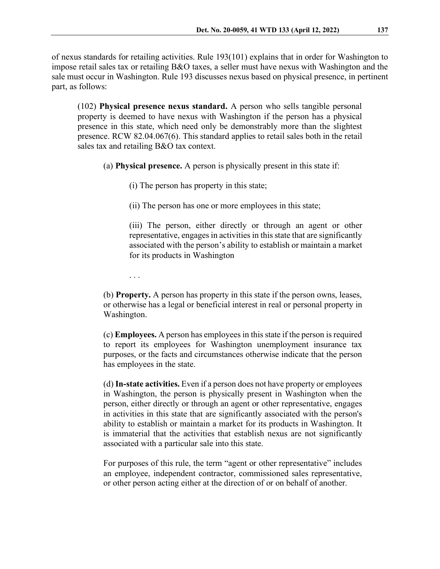(102) **Physical presence nexus standard.** A person who sells tangible personal property is deemed to have nexus with Washington if the person has a physical presence in this state, which need only be demonstrably more than the slightest presence. RCW 82.04.067(6). This standard applies to retail sales both in the retail sales tax and retailing B&O tax context.

(a) **Physical presence.** A person is physically present in this state if:

(i) The person has property in this state;

(ii) The person has one or more employees in this state;

(iii) The person, either directly or through an agent or other representative, engages in activities in this state that are significantly associated with the person's ability to establish or maintain a market for its products in Washington

. . .

(b) **Property.** A person has property in this state if the person owns, leases, or otherwise has a legal or beneficial interest in real or personal property in Washington.

(c) **Employees.** A person has employees in this state if the person is required to report its employees for Washington unemployment insurance tax purposes, or the facts and circumstances otherwise indicate that the person has employees in the state.

(d) **In-state activities.** Even if a person does not have property or employees in Washington, the person is physically present in Washington when the person, either directly or through an agent or other representative, engages in activities in this state that are significantly associated with the person's ability to establish or maintain a market for its products in Washington. It is immaterial that the activities that establish nexus are not significantly associated with a particular sale into this state.

For purposes of this rule, the term "agent or other representative" includes an employee, independent contractor, commissioned sales representative, or other person acting either at the direction of or on behalf of another.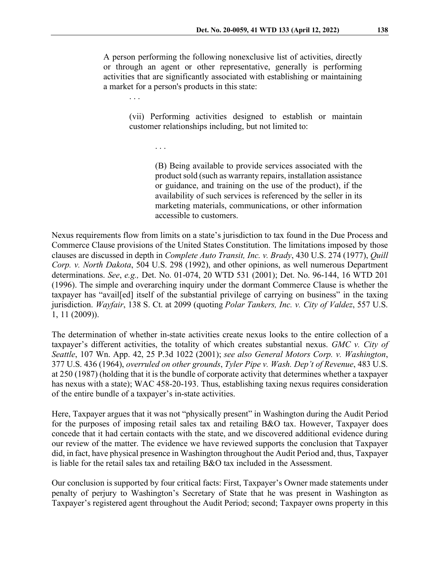A person performing the following nonexclusive list of activities, directly or through an agent or other representative, generally is performing activities that are significantly associated with establishing or maintaining a market for a person's products in this state:

. . .

(vii) Performing activities designed to establish or maintain customer relationships including, but not limited to:

. . .

(B) Being available to provide services associated with the product sold (such as warranty repairs, installation assistance or guidance, and training on the use of the product), if the availability of such services is referenced by the seller in its marketing materials, communications, or other information accessible to customers.

Nexus requirements flow from limits on a state's jurisdiction to tax found in the Due Process and Commerce Clause provisions of the United States Constitution. The limitations imposed by those clauses are discussed in depth in *Complete Auto Transit, Inc. v. Brady*, 430 U.S. 274 (1977), *Quill Corp. v. North Dakota*, 504 U.S. 298 (1992), and other opinions, as well numerous Department determinations. *See*, *e.g.,* Det. No. 01-074, 20 WTD 531 (2001); Det. No. 96-144, 16 WTD 201 (1996). The simple and overarching inquiry under the dormant Commerce Clause is whether the taxpayer has "avail[ed] itself of the substantial privilege of carrying on business" in the taxing jurisdiction. *Wayfair*, 138 S. Ct. at 2099 (quoting *Polar Tankers, Inc. v. City of Valdez*, 557 U.S. 1, 11 (2009)).

The determination of whether in-state activities create nexus looks to the entire collection of a taxpayer's different activities, the totality of which creates substantial nexus. *GMC v. City of Seattle*, 107 Wn. App. 42, 25 P.3d 1022 (2001); *see also General Motors Corp. v. Washington*, 377 U.S. 436 (1964), *overruled on other grounds*, *Tyler Pipe v. Wash. Dep't of Revenue*, 483 U.S. at 250 (1987) (holding that it is the bundle of corporate activity that determines whether a taxpayer has nexus with a state); WAC 458-20-193. Thus, establishing taxing nexus requires consideration of the entire bundle of a taxpayer's in-state activities.

Here, Taxpayer argues that it was not "physically present" in Washington during the Audit Period for the purposes of imposing retail sales tax and retailing B&O tax. However, Taxpayer does concede that it had certain contacts with the state, and we discovered additional evidence during our review of the matter. The evidence we have reviewed supports the conclusion that Taxpayer did, in fact, have physical presence in Washington throughout the Audit Period and, thus, Taxpayer is liable for the retail sales tax and retailing B&O tax included in the Assessment.

Our conclusion is supported by four critical facts: First, Taxpayer's Owner made statements under penalty of perjury to Washington's Secretary of State that he was present in Washington as Taxpayer's registered agent throughout the Audit Period; second; Taxpayer owns property in this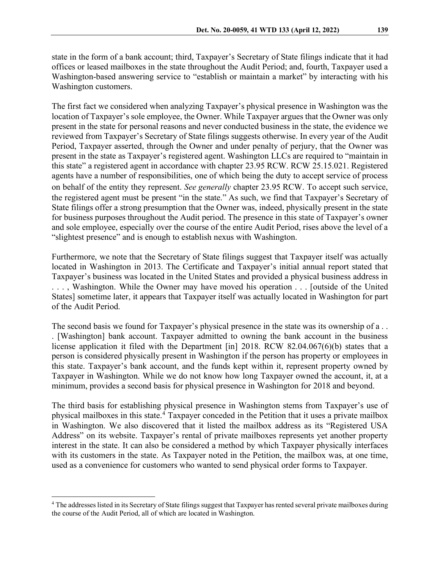state in the form of a bank account; third, Taxpayer's Secretary of State filings indicate that it had offices or leased mailboxes in the state throughout the Audit Period; and, fourth, Taxpayer used a Washington-based answering service to "establish or maintain a market" by interacting with his Washington customers.

The first fact we considered when analyzing Taxpayer's physical presence in Washington was the location of Taxpayer's sole employee, the Owner. While Taxpayer argues that the Owner was only present in the state for personal reasons and never conducted business in the state, the evidence we reviewed from Taxpayer's Secretary of State filings suggests otherwise. In every year of the Audit Period, Taxpayer asserted, through the Owner and under penalty of perjury, that the Owner was present in the state as Taxpayer's registered agent. Washington LLCs are required to "maintain in this state" a registered agent in accordance with chapter 23.95 RCW. RCW 25.15.021. Registered agents have a number of responsibilities, one of which being the duty to accept service of process on behalf of the entity they represent. *See generally* chapter 23.95 RCW. To accept such service, the registered agent must be present "in the state." As such, we find that Taxpayer's Secretary of State filings offer a strong presumption that the Owner was, indeed, physically present in the state for business purposes throughout the Audit period. The presence in this state of Taxpayer's owner and sole employee, especially over the course of the entire Audit Period, rises above the level of a "slightest presence" and is enough to establish nexus with Washington.

Furthermore, we note that the Secretary of State filings suggest that Taxpayer itself was actually located in Washington in 2013. The Certificate and Taxpayer's initial annual report stated that Taxpayer's business was located in the United States and provided a physical business address in . . . , Washington. While the Owner may have moved his operation . . . [outside of the United States] sometime later, it appears that Taxpayer itself was actually located in Washington for part of the Audit Period.

The second basis we found for Taxpayer's physical presence in the state was its ownership of a . . . [Washington] bank account. Taxpayer admitted to owning the bank account in the business license application it filed with the Department [in] 2018. RCW 82.04.067(6)(b) states that a person is considered physically present in Washington if the person has property or employees in this state. Taxpayer's bank account, and the funds kept within it, represent property owned by Taxpayer in Washington. While we do not know how long Taxpayer owned the account, it, at a minimum, provides a second basis for physical presence in Washington for 2018 and beyond.

The third basis for establishing physical presence in Washington stems from Taxpayer's use of physical mailboxes in this state.[4](#page-6-0) Taxpayer conceded in the Petition that it uses a private mailbox in Washington. We also discovered that it listed the mailbox address as its "Registered USA Address" on its website. Taxpayer's rental of private mailboxes represents yet another property interest in the state. It can also be considered a method by which Taxpayer physically interfaces with its customers in the state. As Taxpayer noted in the Petition, the mailbox was, at one time, used as a convenience for customers who wanted to send physical order forms to Taxpayer.

<span id="page-6-0"></span><sup>4</sup> The addresses listed in its Secretary of State filings suggest that Taxpayer has rented several private mailboxes during the course of the Audit Period, all of which are located in Washington.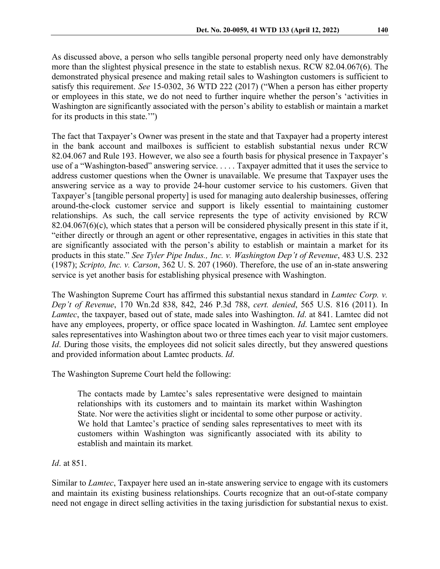As discussed above, a person who sells tangible personal property need only have demonstrably more than the slightest physical presence in the state to establish nexus. RCW 82.04.067(6). The demonstrated physical presence and making retail sales to Washington customers is sufficient to satisfy this requirement. *See* 15-0302, 36 WTD 222 (2017) ("When a person has either property or employees in this state, we do not need to further inquire whether the person's 'activities in Washington are significantly associated with the person's ability to establish or maintain a market for its products in this state.'")

The fact that Taxpayer's Owner was present in the state and that Taxpayer had a property interest in the bank account and mailboxes is sufficient to establish substantial nexus under RCW 82.04.067 and Rule 193. However, we also see a fourth basis for physical presence in Taxpayer's use of a "Washington-based" answering service. . . . . Taxpayer admitted that it uses the service to address customer questions when the Owner is unavailable. We presume that Taxpayer uses the answering service as a way to provide 24-hour customer service to his customers. Given that Taxpayer's [tangible personal property] is used for managing auto dealership businesses, offering around-the-clock customer service and support is likely essential to maintaining customer relationships. As such, the call service represents the type of activity envisioned by RCW 82.04.067(6)(c), which states that a person will be considered physically present in this state if it, "either directly or through an agent or other representative, engages in activities in this state that are significantly associated with the person's ability to establish or maintain a market for its products in this state." *See Tyler Pipe Indus., Inc. v. Washington Dep't of Revenue*, 483 U.S. 232 (1987); *Scripto, Inc. v. Carson*, 362 U. S. 207 (1960). Therefore, the use of an in-state answering service is yet another basis for establishing physical presence with Washington.

The Washington Supreme Court has affirmed this substantial nexus standard in *Lamtec Corp. v. Dep't of Revenue*, 170 Wn.2d 838, 842, 246 P.3d 788, *cert. denied*, 565 U.S. 816 (2011). In *Lamtec*, the taxpayer, based out of state, made sales into Washington. *Id*. at 841. Lamtec did not have any employees, property, or office space located in Washington. *Id*. Lamtec sent employee sales representatives into Washington about two or three times each year to visit major customers. *Id*. During those visits, the employees did not solicit sales directly, but they answered questions and provided information about Lamtec products. *Id*.

The Washington Supreme Court held the following:

The contacts made by Lamtec's sales representative were designed to maintain relationships with its customers and to maintain its market within Washington State. Nor were the activities slight or incidental to some other purpose or activity. We hold that Lamtec's practice of sending sales representatives to meet with its customers within Washington was significantly associated with its ability to establish and maintain its market.

*Id*. at 851.

Similar to *Lamtec*, Taxpayer here used an in-state answering service to engage with its customers and maintain its existing business relationships. Courts recognize that an out-of-state company need not engage in direct selling activities in the taxing jurisdiction for substantial nexus to exist.